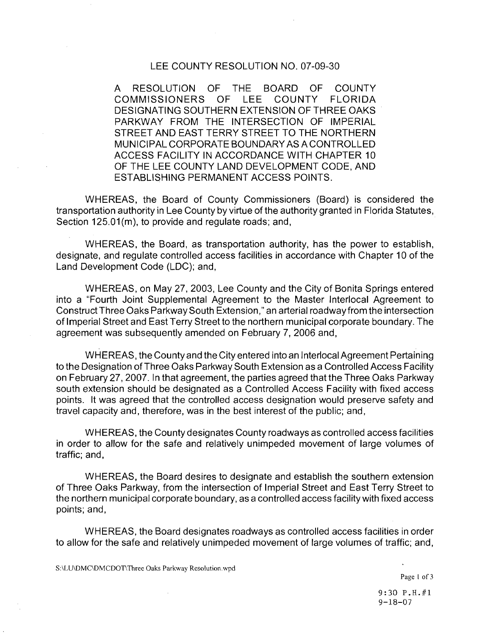## LEE COUNTY RESOLUTION NO. 07-09-30

A RESOLUTION OF THE BOARD OF COUNTY<br>COMMISSIONERS OF LEE COUNTY FLORIDA COMMISSIONERS OF LEE DESIGNATING SOUTHERN EXTENSION OF THREE OAKS PARKWAY FROM THE INTERSECTION OF IMPERIAL STREET AND EAST TERRY STREET TO THE NORTHERN MUNICIPAL CORPORATE BOUNDARY AS A CONTROLLED ACCESS FACILITY IN ACCORDANCE WITH CHAPTER 10 OF THE LEE COUNTY LAND DEVELOPMENT CODE, AND ESTABLISHING PERMANENT ACCESS POINTS.

WHEREAS, the Board of County Commissioners (Board) is considered the transportation authority in Lee County by virtue of the authority granted in Florida Statutes, Section 125.01 (m), to provide and regulate roads; and,

WHEREAS, the Board, as transportation authority, has the power to establish, designate, and regulate controlled access facilities in accordance with Chapter 10 of the Land Development Code (LDC); and,

WHEREAS, on May 27, 2003, Lee County and the City of Bonita Springs entered into a "Fourth Joint Supplemental Agreement to the Master lnterlocal Agreement to Construct Three Oaks Parkway South Extension," an arterial roadway from the intersection of Imperial Street and East Terry Street to the northern municipal corporate boundary. The agreement was subsequently amended on February 7, 2006 and,

WHEREAS, the County and the City entered into an lnterlocal Agreement Pertaining to the Designation of Three Oaks Parkway South Extension as a Controlled Access Facility on February 27, 2007. In that agreement, the parties agreed that the Three Oaks Parkway south extension should be designated as a Controlled Access Facility with fixed access points. It was agreed that the controlled access designation would preserve safety and travel capacity and, therefore, was in the best interest of the public; and,

WHEREAS, the County designates County roadways as controlled access facilities in order to allow for the safe and relatively unimpeded movement of large volumes of traffic; and,

WHEREAS, the Board desires to designate and establish the southern extension of Three Oaks Parkway, from the intersection of Imperial Street and East Terry Street to the northern municipal corporate boundary, as a controlled access facility with fixed access points; and,

WHEREAS, the Board designates roadways as controlled access facilities in order to allow for the safe and relatively unimpeded movement of large volumes of traffic; and,

9:30 P.H.#1  $9 - 18 - 07$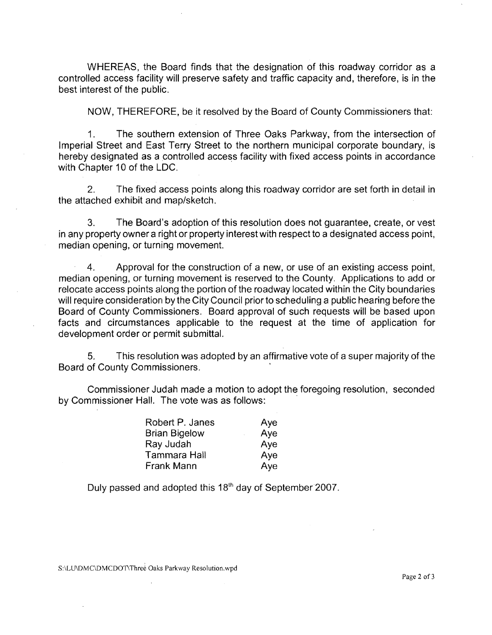WHEREAS, the Board finds that the designation of this roadway corridor as a controlled access facility will preserve safety and traffic capacity and, therefore, is in the best interest of the public.

NOW, THEREFORE, be it resolved by the Board of County Commissioners that:

1. The southern extension of Three Oaks Parkway, from the intersection of Imperial Street and East Terry Street to the northern municipal corporate boundary, is hereby designated as a controlled access facility with fixed access points in accordance with Chapter 10 of the LDC.

2. The fixed access points along this roadway corridor are set forth in detail in the attached exhibit and map/sketch.

3. The Board's adoption of this resolution does not guarantee, create, or vest in any property owner a right or property interest with respect to a designated access point, median opening, or turning movement.

4. Approval for the construction of a new, or use of an existing access point, median opening, or turning movement is reserved to the County. Applications to add or relocate access points along the portion of the roadway located within the City boundaries will require consideration by the City Council prior to scheduling a public hearing before the Board of County Commissioners. Board approval of such requests will be based upon facts and circumstances applicable to the request at the time of application for development order or permit submittal.

5. This resolution was adopted by an affirmative vote of a super majority of the Board of County Commissioners.

Commissioner Judah made a motion to adopt the foregoing resolution, seconded by Commissioner Hall. The vote was as follows:

| Robert P. Janes      | Aye |
|----------------------|-----|
| <b>Brian Bigelow</b> | Aye |
| Ray Judah            | Aye |
| Tammara Hall         | Aye |
| Frank Mann           | Aye |

Duly passed and adopted this 18<sup>th</sup> day of September 2007.

S:\LU\DMC\DMCDOT\Three Oaks Parkway Resolution.wpd